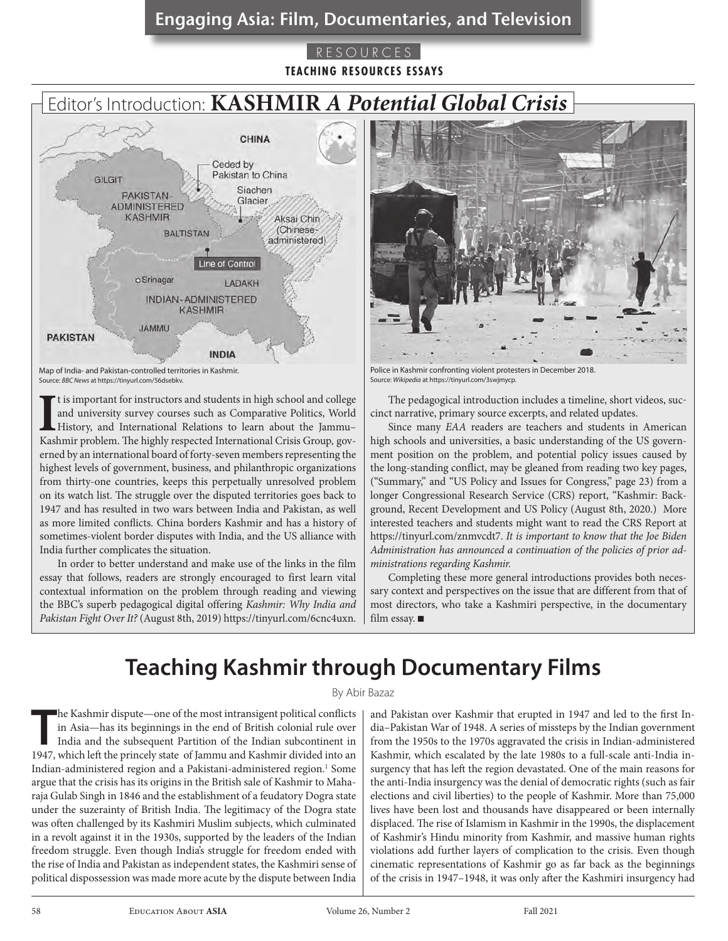# Engaging Asia: Film, Documentaries, and Television Engaging Asia: Film, Documentaries, and Television Engaging Asia: Film, Documentaries, and Television Engaging Asia: Film, Documentaries, and Television

## RESOURCES **TEACHING RESOURCES ESSAYS**

# Editor's Introduction: **KASHMIR** *A Potential Global Crisis*



Map of India- and Pakistan-controlled territories in Kashmir. Source: *BBC News* at https://tinyurl.com/56dsebkv.

It is important for instructors and students in high school and college and university survey courses such as Comparative Politics, World History, and International Relations to learn about the Jammu-Kashmir problem. The h t is important for instructors and students in high school and college and university survey courses such as Comparative Politics, World History, and International Relations to learn about the Jammu– erned by an international board of forty-seven members representing the highest levels of government, business, and philanthropic organizations from thirty-one countries, keeps this perpetually unresolved problem on its watch list. The struggle over the disputed territories goes back to 1947 and has resulted in two wars between India and Pakistan, as well as more limited conflicts. China borders Kashmir and has a history of sometimes-violent border disputes with India, and the US alliance with India further complicates the situation.

In order to better understand and make use of the links in the film essay that follows, readers are strongly encouraged to first learn vital contextual information on the problem through reading and viewing the BBC's superb pedagogical digital offering *Kashmir: Why India and Pakistan Fight Over It?* (August 8th, 2019) https://tinyurl.com/6cnc4uxn.



Police in Kashmir confronting violent protesters in December 2018. Source: *Wikipedia* at https://tinyurl.com/3swjmycp.

The pedagogical introduction includes a timeline, short videos, succinct narrative, primary source excerpts, and related updates.

Since many *EAA* readers are teachers and students in American high schools and universities, a basic understanding of the US government position on the problem, and potential policy issues caused by the long-standing conflict, may be gleaned from reading two key pages, ("Summary," and "US Policy and Issues for Congress," page 23) from a longer Congressional Research Service (CRS) report, "Kashmir: Background, Recent Development and US Policy (August 8th, 2020.) More interested teachers and students might want to read the CRS Report at https://tinyurl.com/znmvcdt7. *It is important to know that the Joe Biden Administration has announced a continuation of the policies of prior administrations regarding Kashmir.* 

Completing these more general introductions provides both necessary context and perspectives on the issue that are different from that of most directors, who take a Kashmiri perspective, in the documentary film essay.  $\blacksquare$ 

# **Teaching Kashmir through Documentary Films**

#### By Abir Bazaz

**The Kashmir dispute—one of the most intransigent political conflicts in Asia—has its beginnings in the end of British colonial rule over India and the subsequent Partition of the Indian subcontinent in 1947, which left th** he Kashmir dispute—one of the most intransigent political conflicts in Asia—has its beginnings in the end of British colonial rule over India and the subsequent Partition of the Indian subcontinent in Indian-administered region and a Pakistani-administered region.<sup>1</sup> Some argue that the crisis has its origins in the British sale of Kashmir to Maharaja Gulab Singh in 1846 and the establishment of a feudatory Dogra state under the suzerainty of British India. The legitimacy of the Dogra state was often challenged by its Kashmiri Muslim subjects, which culminated in a revolt against it in the 1930s, supported by the leaders of the Indian freedom struggle. Even though India's struggle for freedom ended with the rise of India and Pakistan as independent states, the Kashmiri sense of political dispossession was made more acute by the dispute between India

and Pakistan over Kashmir that erupted in 1947 and led to the first India–Pakistan War of 1948. A series of missteps by the Indian government from the 1950s to the 1970s aggravated the crisis in Indian-administered Kashmir, which escalated by the late 1980s to a full-scale anti-India insurgency that has left the region devastated. One of the main reasons for the anti-India insurgency was the denial of democratic rights (such as fair elections and civil liberties) to the people of Kashmir. More than 75,000 lives have been lost and thousands have disappeared or been internally displaced. The rise of Islamism in Kashmir in the 1990s, the displacement of Kashmir's Hindu minority from Kashmir, and massive human rights violations add further layers of complication to the crisis. Even though cinematic representations of Kashmir go as far back as the beginnings of the crisis in 1947–1948, it was only after the Kashmiri insurgency had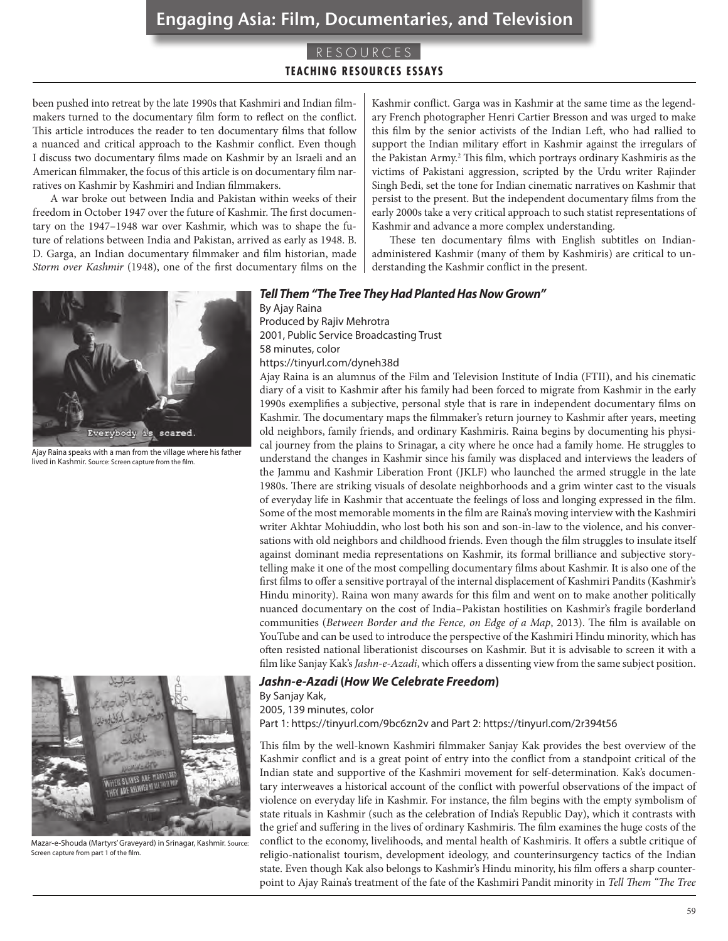## Engaging Asia: Film, Documentaries, and Television

## RESOURCES **TEACHING RESOURCES ESSAYS**

been pushed into retreat by the late 1990s that Kashmiri and Indian filmmakers turned to the documentary film form to reflect on the conflict. This article introduces the reader to ten documentary films that follow a nuanced and critical approach to the Kashmir conflict. Even though I discuss two documentary films made on Kashmir by an Israeli and an American filmmaker, the focus of this article is on documentary film narratives on Kashmir by Kashmiri and Indian filmmakers.

A war broke out between India and Pakistan within weeks of their freedom in October 1947 over the future of Kashmir. The first documentary on the 1947–1948 war over Kashmir, which was to shape the future of relations between India and Pakistan, arrived as early as 1948. B. D. Garga, an Indian documentary filmmaker and film historian, made *Storm over Kashmir* (1948), one of the first documentary films on the



Ajay Raina speaks with a man from the village where his father lived in Kashmir. Source: Screen capture from the film.



Mazar-e-Shouda (Martyrs' Graveyard) in Srinagar, Kashmir. Source: Screen capture from part 1 of the film.

Kashmir conflict. Garga was in Kashmir at the same time as the legendary French photographer Henri Cartier Bresson and was urged to make this film by the senior activists of the Indian Left, who had rallied to support the Indian military effort in Kashmir against the irregulars of the Pakistan Army.<sup>2</sup> This film, which portrays ordinary Kashmiris as the victims of Pakistani aggression, scripted by the Urdu writer Rajinder Singh Bedi, set the tone for Indian cinematic narratives on Kashmir that persist to the present. But the independent documentary films from the early 2000s take a very critical approach to such statist representations of Kashmir and advance a more complex understanding.

These ten documentary films with English subtitles on Indianadministered Kashmir (many of them by Kashmiris) are critical to understanding the Kashmir conflict in the present.

#### *Tell Them "The Tree They Had Planted Has Now Grown"*

By Ajay Raina Produced by Rajiv Mehrotra 2001, Public Service Broadcasting Trust 58 minutes, color https://tinyurl.com/dyneh38d

Ajay Raina is an alumnus of the Film and Television Institute of India (FTII), and his cinematic diary of a visit to Kashmir after his family had been forced to migrate from Kashmir in the early 1990s exemplifies a subjective, personal style that is rare in independent documentary films on Kashmir. The documentary maps the filmmaker's return journey to Kashmir after years, meeting old neighbors, family friends, and ordinary Kashmiris. Raina begins by documenting his physical journey from the plains to Srinagar, a city where he once had a family home. He struggles to understand the changes in Kashmir since his family was displaced and interviews the leaders of the Jammu and Kashmir Liberation Front (JKLF) who launched the armed struggle in the late 1980s. There are striking visuals of desolate neighborhoods and a grim winter cast to the visuals of everyday life in Kashmir that accentuate the feelings of loss and longing expressed in the film. Some of the most memorable moments in the film are Raina's moving interview with the Kashmiri writer Akhtar Mohiuddin, who lost both his son and son-in-law to the violence, and his conversations with old neighbors and childhood friends. Even though the film struggles to insulate itself against dominant media representations on Kashmir, its formal brilliance and subjective storytelling make it one of the most compelling documentary films about Kashmir. It is also one of the first films to offer a sensitive portrayal of the internal displacement of Kashmiri Pandits (Kashmir's Hindu minority). Raina won many awards for this film and went on to make another politically nuanced documentary on the cost of India–Pakistan hostilities on Kashmir's fragile borderland communities (*Between Border and the Fence, on Edge of a Map*, 2013). The film is available on YouTube and can be used to introduce the perspective of the Kashmiri Hindu minority, which has often resisted national liberationist discourses on Kashmir. But it is advisable to screen it with a film like Sanjay Kak's *Jashn-e-Azadi*, which offers a dissenting view from the same subject position.

#### *Jashn-e-Azadi* **(***How We Celebrate Freedom***)**

By Sanjay Kak,

2005, 139 minutes, color Part 1: https://tinyurl.com/9bc6zn2v and Part 2: https://tinyurl.com/2r394t56

This film by the well-known Kashmiri filmmaker Sanjay Kak provides the best overview of the Kashmir conflict and is a great point of entry into the conflict from a standpoint critical of the Indian state and supportive of the Kashmiri movement for self-determination. Kak's documen-

tary interweaves a historical account of the conflict with powerful observations of the impact of violence on everyday life in Kashmir. For instance, the film begins with the empty symbolism of state rituals in Kashmir (such as the celebration of India's Republic Day), which it contrasts with the grief and suffering in the lives of ordinary Kashmiris. The film examines the huge costs of the conflict to the economy, livelihoods, and mental health of Kashmiris. It offers a subtle critique of religio-nationalist tourism, development ideology, and counterinsurgency tactics of the Indian state. Even though Kak also belongs to Kashmir's Hindu minority, his film offers a sharp counterpoint to Ajay Raina's treatment of the fate of the Kashmiri Pandit minority in *Tell Them "The Tree*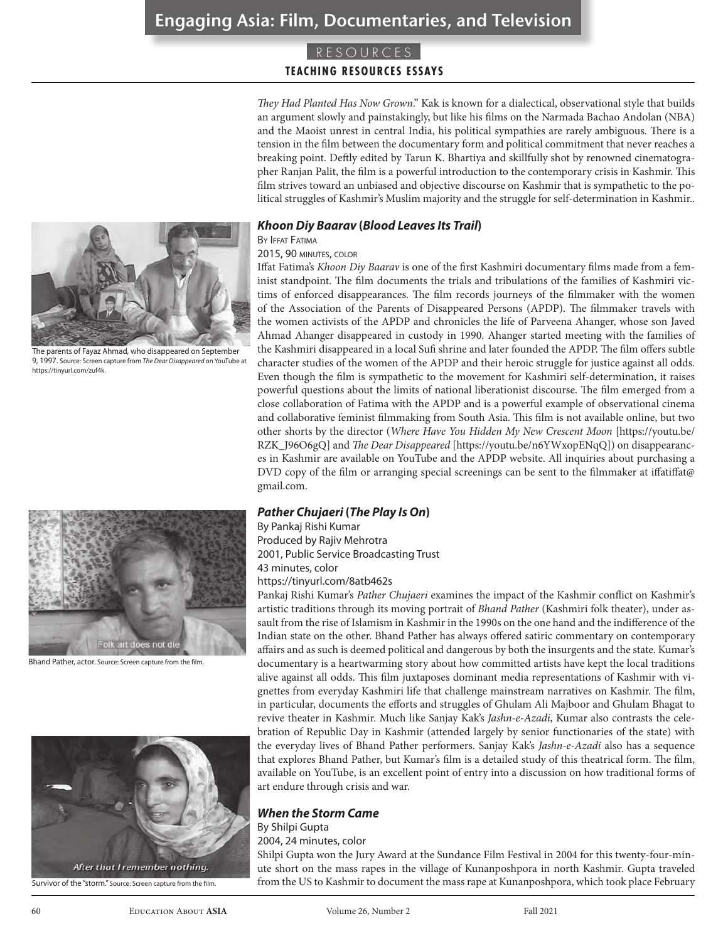## **TEACHING RESOURCES ESSAYS**

*They Had Planted Has Now Grown*." Kak is known for a dialectical, observational style that builds an argument slowly and painstakingly, but like his films on the Narmada Bachao Andolan (NBA) and the Maoist unrest in central India, his political sympathies are rarely ambiguous. There is a tension in the film between the documentary form and political commitment that never reaches a breaking point. Deftly edited by Tarun K. Bhartiya and skillfully shot by renowned cinematographer Ranjan Palit, the film is a powerful introduction to the contemporary crisis in Kashmir. This film strives toward an unbiased and objective discourse on Kashmir that is sympathetic to the political struggles of Kashmir's Muslim majority and the struggle for self-determination in Kashmir..

#### *Khoon Diy Baarav* **(***Blood Leaves Its Trail***)**

BY **IFFAT FATIMA** 

#### 2015, 90 minutes, color

Iffat Fatima's *Khoon Diy Baarav* is one of the first Kashmiri documentary films made from a feminist standpoint. The film documents the trials and tribulations of the families of Kashmiri victims of enforced disappearances. The film records journeys of the filmmaker with the women of the Association of the Parents of Disappeared Persons (APDP). The filmmaker travels with the women activists of the APDP and chronicles the life of Parveena Ahanger, whose son Javed Ahmad Ahanger disappeared in custody in 1990. Ahanger started meeting with the families of the Kashmiri disappeared in a local Sufi shrine and later founded the APDP. The film offers subtle character studies of the women of the APDP and their heroic struggle for justice against all odds. Even though the film is sympathetic to the movement for Kashmiri self-determination, it raises powerful questions about the limits of national liberationist discourse. The film emerged from a close collaboration of Fatima with the APDP and is a powerful example of observational cinema and collaborative feminist filmmaking from South Asia. This film is not available online, but two other shorts by the director (*Where Have You Hidden My New Crescent Moon* [https://youtu.be/ RZK\_J96O6gQ] and *The Dear Disappeared* [https://youtu.be/n6YWxopENqQ]) on disappearances in Kashmir are available on YouTube and the APDP website. All inquiries about purchasing a DVD copy of the film or arranging special screenings can be sent to the filmmaker at iffatiffat@ gmail.com.

## *Pather Chujaeri* **(***The Play Is On***)**

By Pankaj Rishi Kumar Produced by Rajiv Mehrotra

2001, Public Service Broadcasting Trust 43 minutes, color

## https://tinyurl.com/8atb462s

Pankaj Rishi Kumar's *Pather Chujaeri* examines the impact of the Kashmir conflict on Kashmir's artistic traditions through its moving portrait of *Bhand Pather* (Kashmiri folk theater), under assault from the rise of Islamism in Kashmir in the 1990s on the one hand and the indifference of the Indian state on the other. Bhand Pather has always offered satiric commentary on contemporary affairs and as such is deemed political and dangerous by both the insurgents and the state. Kumar's documentary is a heartwarming story about how committed artists have kept the local traditions alive against all odds. This film juxtaposes dominant media representations of Kashmir with vignettes from everyday Kashmiri life that challenge mainstream narratives on Kashmir. The film, in particular, documents the efforts and struggles of Ghulam Ali Majboor and Ghulam Bhagat to revive theater in Kashmir. Much like Sanjay Kak's *Jashn-e-Azadi*, Kumar also contrasts the celebration of Republic Day in Kashmir (attended largely by senior functionaries of the state) with the everyday lives of Bhand Pather performers. Sanjay Kak's *Jashn-e-Azadi* also has a sequence that explores Bhand Pather, but Kumar's film is a detailed study of this theatrical form. The film, available on YouTube, is an excellent point of entry into a discussion on how traditional forms of art endure through crisis and war.

## *When the Storm Came*

By Shilpi Gupta

#### 2004, 24 minutes, color

Shilpi Gupta won the Jury Award at the Sundance Film Festival in 2004 for this twenty-four-minute short on the mass rapes in the village of Kunanposhpora in north Kashmir. Gupta traveled from the US to Kashmir to document the mass rape at Kunanposhpora, which took place February



9, 1997. Source: Screen capture from *The Dear Disappeared* on YouTube at https://tinyurl.com/zuf4k.



Bhand Pather, actor. Source: Screen capture from the film.



Survivor of the "storm." Source: Screen capture from the film.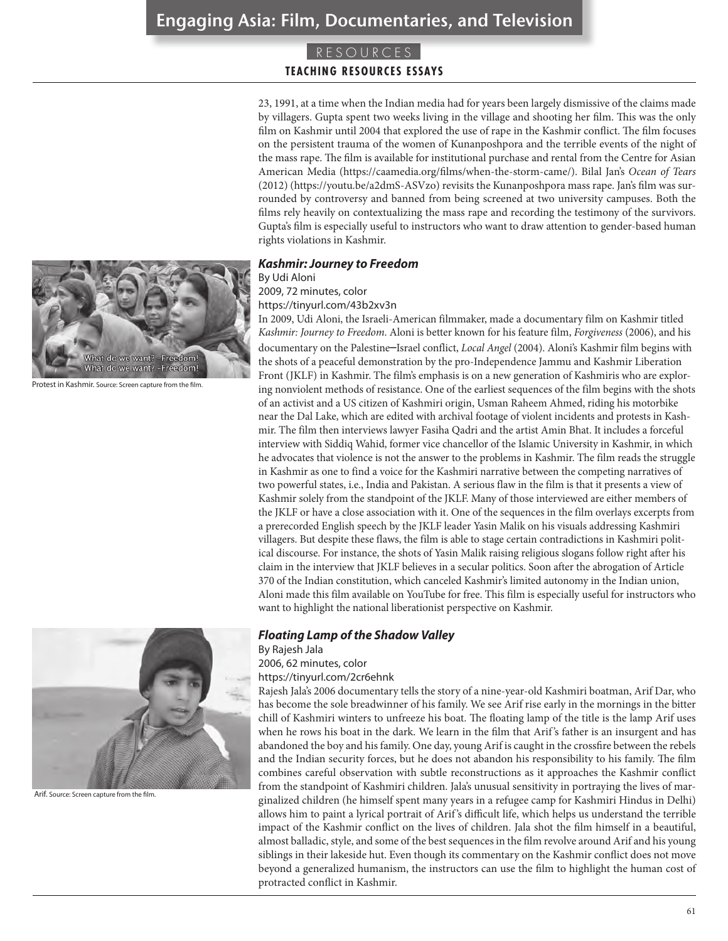## **TEACHING RESOURCES ESSAYS**

23, 1991, at a time when the Indian media had for years been largely dismissive of the claims made by villagers. Gupta spent two weeks living in the village and shooting her film. This was the only film on Kashmir until 2004 that explored the use of rape in the Kashmir conflict. The film focuses on the persistent trauma of the women of Kunanposhpora and the terrible events of the night of the mass rape. The film is available for institutional purchase and rental from the Centre for Asian American Media (https://caamedia.org/films/when-the-storm-came/). Bilal Jan's *Ocean of Tears* (2012) (https://youtu.be/a2dmS-ASVzo) revisits the Kunanposhpora mass rape. Jan's film was surrounded by controversy and banned from being screened at two university campuses. Both the films rely heavily on contextualizing the mass rape and recording the testimony of the survivors. Gupta's film is especially useful to instructors who want to draw attention to gender-based human rights violations in Kashmir.

#### *Kashmir: Journey to Freedom*

By Udi Aloni

2009, 72 minutes, color

https://tinyurl.com/43b2xv3n

In 2009, Udi Aloni, the Israeli-American filmmaker, made a documentary film on Kashmir titled *Kashmir: Journey to Freedom*. Aloni is better known for his feature film, *Forgiveness* (2006), and his documentary on the Palestine–Israel conflict, *Local Angel* (2004). Aloni's Kashmir film begins with the shots of a peaceful demonstration by the pro-Independence Jammu and Kashmir Liberation Front (JKLF) in Kashmir. The film's emphasis is on a new generation of Kashmiris who are exploring nonviolent methods of resistance. One of the earliest sequences of the film begins with the shots of an activist and a US citizen of Kashmiri origin, Usman Raheem Ahmed, riding his motorbike near the Dal Lake, which are edited with archival footage of violent incidents and protests in Kashmir. The film then interviews lawyer Fasiha Qadri and the artist Amin Bhat. It includes a forceful interview with Siddiq Wahid, former vice chancellor of the Islamic University in Kashmir, in which he advocates that violence is not the answer to the problems in Kashmir. The film reads the struggle in Kashmir as one to find a voice for the Kashmiri narrative between the competing narratives of two powerful states, i.e., India and Pakistan. A serious flaw in the film is that it presents a view of Kashmir solely from the standpoint of the JKLF. Many of those interviewed are either members of the JKLF or have a close association with it. One of the sequences in the film overlays excerpts from a prerecorded English speech by the JKLF leader Yasin Malik on his visuals addressing Kashmiri villagers. But despite these flaws, the film is able to stage certain contradictions in Kashmiri political discourse. For instance, the shots of Yasin Malik raising religious slogans follow right after his claim in the interview that JKLF believes in a secular politics. Soon after the abrogation of Article 370 of the Indian constitution, which canceled Kashmir's limited autonomy in the Indian union, Aloni made this film available on YouTube for free. This film is especially useful for instructors who want to highlight the national liberationist perspective on Kashmir.

## *Floating Lamp of the Shadow Valley*

By Rajesh Jala

2006, 62 minutes, color

https://tinyurl.com/2cr6ehnk

Rajesh Jala's 2006 documentary tells the story of a nine-year-old Kashmiri boatman, Arif Dar, who has become the sole breadwinner of his family. We see Arif rise early in the mornings in the bitter chill of Kashmiri winters to unfreeze his boat. The floating lamp of the title is the lamp Arif uses when he rows his boat in the dark. We learn in the film that Arif 's father is an insurgent and has abandoned the boy and his family. One day, young Arif is caught in the crossfire between the rebels and the Indian security forces, but he does not abandon his responsibility to his family. The film combines careful observation with subtle reconstructions as it approaches the Kashmir conflict from the standpoint of Kashmiri children. Jala's unusual sensitivity in portraying the lives of marginalized children (he himself spent many years in a refugee camp for Kashmiri Hindus in Delhi) allows him to paint a lyrical portrait of Arif 's difficult life, which helps us understand the terrible impact of the Kashmir conflict on the lives of children. Jala shot the film himself in a beautiful, almost balladic, style, and some of the best sequences in the film revolve around Arif and his young siblings in their lakeside hut. Even though its commentary on the Kashmir conflict does not move beyond a generalized humanism, the instructors can use the film to highlight the human cost of protracted conflict in Kashmir.



Protest in Kashmir. Source: Screen capture from the film.



Arif. Source: Screen capture from the film.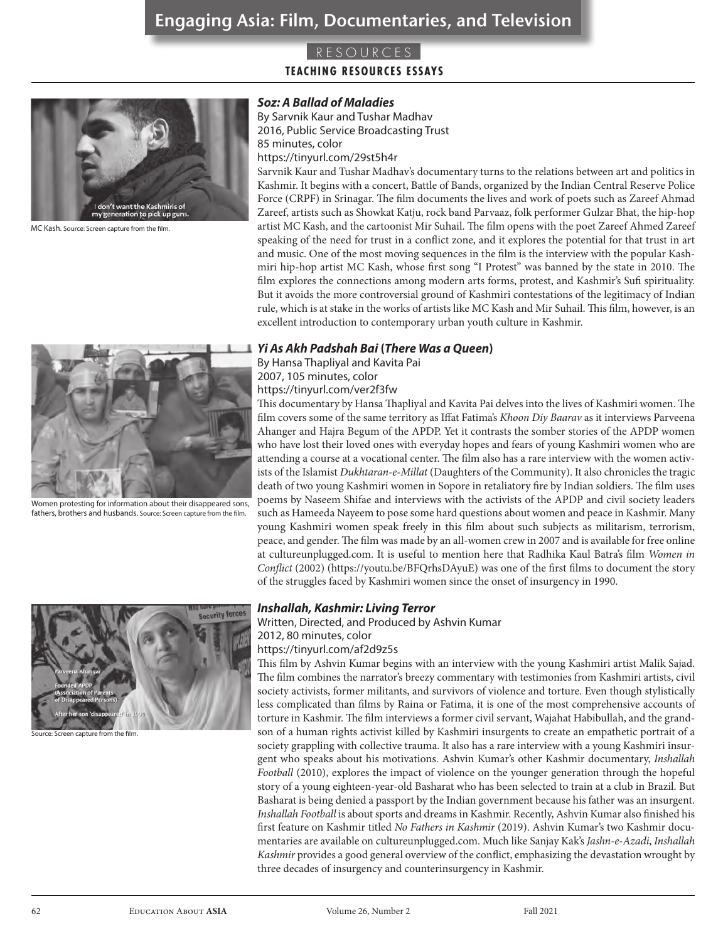## **TEACHING RESOURCES ESSAYS**



MC Kash. Source: Screen capture from the film.

#### *Soz: A Ballad of Maladies*

By Sarvnik Kaur and Tushar Madhav 2016, Public Service Broadcasting Trust 85 minutes, color

https://tinyurl.com/29st5h4r

Sarvnik Kaur and Tushar Madhav's documentary turns to the relations between art and politics in Kashmir. It begins with a concert, Battle of Bands, organized by the Indian Central Reserve Police Force (CRPF) in Srinagar. The film documents the lives and work of poets such as Zareef Ahmad Zareef, artists such as Showkat Katju, rock band Parvaaz, folk performer Gulzar Bhat, the hip-hop artist MC Kash, and the cartoonist Mir Suhail. The film opens with the poet Zareef Ahmed Zareef speaking of the need for trust in a conflict zone, and it explores the potential for that trust in art and music. One of the most moving sequences in the film is the interview with the popular Kashmiri hip-hop artist MC Kash, whose first song "I Protest" was banned by the state in 2010. The film explores the connections among modern arts forms, protest, and Kashmir's Sufi spirituality. But it avoids the more controversial ground of Kashmiri contestations of the legitimacy of Indian rule, which is at stake in the works of artists like MC Kash and Mir Suhail. This film, however, is an excellent introduction to contemporary urban youth culture in Kashmir.

#### *Yi As Akh Padshah Bai* **(***There Was a Queen***)**

By Hansa Thapliyal and Kavita Pai 2007, 105 minutes, color https://tinyurl.com/ver2f3fw

This documentary by Hansa Thapliyal and Kavita Pai delves into the lives of Kashmiri women. The film covers some of the same territory as Iffat Fatima's *Khoon Diy Baarav* as it interviews Parveena Ahanger and Hajra Begum of the APDP. Yet it contrasts the somber stories of the APDP women who have lost their loved ones with everyday hopes and fears of young Kashmiri women who are attending a course at a vocational center. The film also has a rare interview with the women activists of the Islamist *Dukhtaran-e-Millat* (Daughters of the Community). It also chronicles the tragic death of two young Kashmiri women in Sopore in retaliatory fire by Indian soldiers. The film uses poems by Naseem Shifae and interviews with the activists of the APDP and civil society leaders such as Hameeda Nayeem to pose some hard questions about women and peace in Kashmir. Many young Kashmiri women speak freely in this film about such subjects as militarism, terrorism, peace, and gender. The film was made by an all-women crew in 2007 and is available for free online at cultureunplugged.com. It is useful to mention here that Radhika Kaul Batra's film *Women in Conflict* (2002) (https://youtu.be/BFQrhsDAyuE) was one of the first films to document the story of the struggles faced by Kashmiri women since the onset of insurgency in 1990.



#### Screen capture from the film.

#### *Inshallah, Kashmir: Living Terror*

Written, Directed, and Produced by Ashvin Kumar

2012, 80 minutes, color

https://tinyurl.com/af2d9z5s

This film by Ashvin Kumar begins with an interview with the young Kashmiri artist Malik Sajad. The film combines the narrator's breezy commentary with testimonies from Kashmiri artists, civil society activists, former militants, and survivors of violence and torture. Even though stylistically less complicated than films by Raina or Fatima, it is one of the most comprehensive accounts of torture in Kashmir. The film interviews a former civil servant, Wajahat Habibullah, and the grandson of a human rights activist killed by Kashmiri insurgents to create an empathetic portrait of a society grappling with collective trauma. It also has a rare interview with a young Kashmiri insurgent who speaks about his motivations. Ashvin Kumar's other Kashmir documentary, *Inshallah Football* (2010), explores the impact of violence on the younger generation through the hopeful story of a young eighteen-year-old Basharat who has been selected to train at a club in Brazil. But Basharat is being denied a passport by the Indian government because his father was an insurgent. *Inshallah Football* is about sports and dreams in Kashmir. Recently, Ashvin Kumar also finished his first feature on Kashmir titled *No Fathers in Kashmir* (2019). Ashvin Kumar's two Kashmir documentaries are available on cultureunplugged.com. Much like Sanjay Kak's *Jashn-e-Azadi*, *Inshallah Kashmir* provides a good general overview of the conflict, emphasizing the devastation wrought by three decades of insurgency and counterinsurgency in Kashmir.